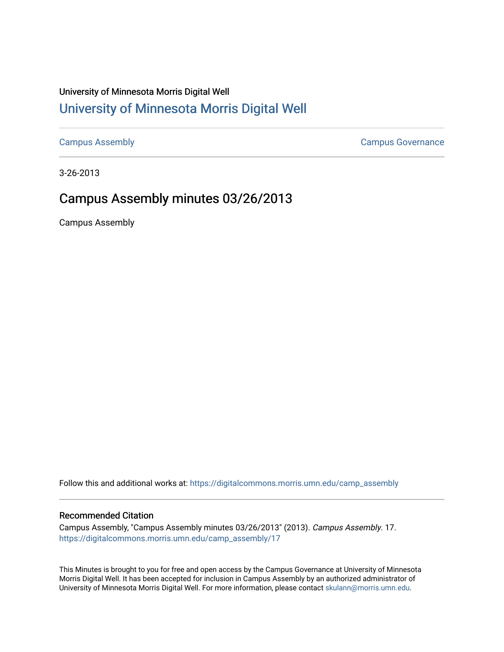## University of Minnesota Morris Digital Well [University of Minnesota Morris Digital Well](https://digitalcommons.morris.umn.edu/)

[Campus Assembly](https://digitalcommons.morris.umn.edu/camp_assembly) [Campus Governance](https://digitalcommons.morris.umn.edu/campgov) 

3-26-2013

# Campus Assembly minutes 03/26/2013

Campus Assembly

Follow this and additional works at: [https://digitalcommons.morris.umn.edu/camp\\_assembly](https://digitalcommons.morris.umn.edu/camp_assembly?utm_source=digitalcommons.morris.umn.edu%2Fcamp_assembly%2F17&utm_medium=PDF&utm_campaign=PDFCoverPages) 

#### Recommended Citation

Campus Assembly, "Campus Assembly minutes 03/26/2013" (2013). Campus Assembly. 17. [https://digitalcommons.morris.umn.edu/camp\\_assembly/17](https://digitalcommons.morris.umn.edu/camp_assembly/17?utm_source=digitalcommons.morris.umn.edu%2Fcamp_assembly%2F17&utm_medium=PDF&utm_campaign=PDFCoverPages) 

This Minutes is brought to you for free and open access by the Campus Governance at University of Minnesota Morris Digital Well. It has been accepted for inclusion in Campus Assembly by an authorized administrator of University of Minnesota Morris Digital Well. For more information, please contact [skulann@morris.umn.edu](mailto:skulann@morris.umn.edu).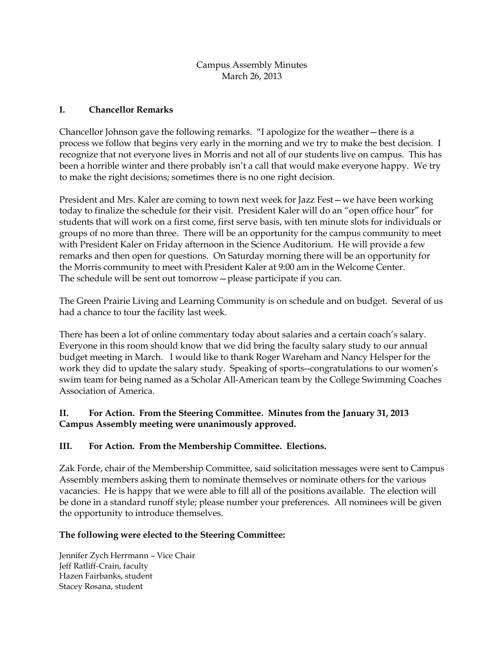### Campus Assembly Minutes March 26, 2013

### **I. Chancellor Remarks**

Chancellor Johnson gave the following remarks. "I apologize for the weather—there is a process we follow that begins very early in the morning and we try to make the best decision. I recognize that not everyone lives in Morris and not all of our students live on campus. This has been a horrible winter and there probably isn't a call that would make everyone happy. We try to make the right decisions; sometimes there is no one right decision.

President and Mrs. Kaler are coming to town next week for Jazz Fest—we have been working today to finalize the schedule for their visit. President Kaler will do an "open office hour" for students that will work on a first come, first serve basis, with ten minute slots for individuals or groups of no more than three. There will be an opportunity for the campus community to meet with President Kaler on Friday afternoon in the Science Auditorium. He will provide a few remarks and then open for questions. On Saturday morning there will be an opportunity for the Morris community to meet with President Kaler at 9:00 am in the Welcome Center. The schedule will be sent out tomorrow—please participate if you can.

The Green Prairie Living and Learning Community is on schedule and on budget. Several of us had a chance to tour the facility last week.

There has been a lot of online commentary today about salaries and a certain coach's salary. Everyone in this room should know that we did bring the faculty salary study to our annual budget meeting in March. I would like to thank Roger Wareham and Nancy Helsper for the work they did to update the salary study. Speaking of sports--congratulations to our women's swim team for being named as a Scholar All-American team by the College Swimming Coaches Association of America.

## **II. For Action. From the Steering Committee. Minutes from the January 31, 2013 Campus Assembly meeting were unanimously approved.**

#### **III. For Action. From the Membership Committee. Elections.**

Zak Forde, chair of the Membership Committee, said solicitation messages were sent to Campus Assembly members asking them to nominate themselves or nominate others for the various vacancies. He is happy that we were able to fill all of the positions available. The election will be done in a standard runoff style; please number your preferences. All nominees will be given the opportunity to introduce themselves.

#### **The following were elected to the Steering Committee:**

Jennifer Zych Herrmann – Vice Chair Jeff Ratliff-Crain, faculty Hazen Fairbanks, student Stacey Rosana, student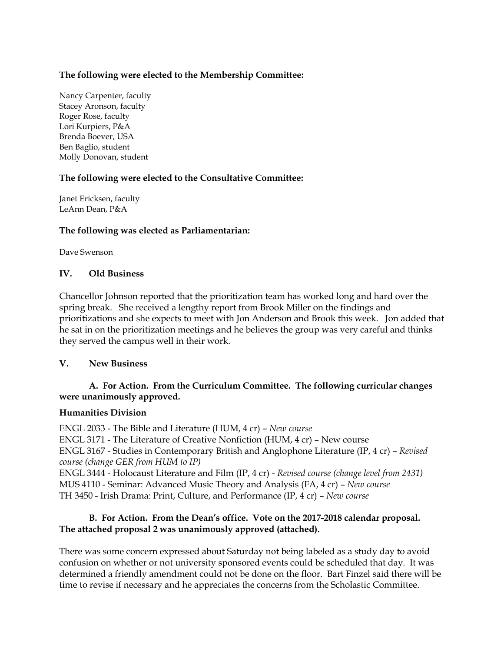## **The following were elected to the Membership Committee:**

Nancy Carpenter, faculty Stacey Aronson, faculty Roger Rose, faculty Lori Kurpiers, P&A Brenda Boever, USA Ben Baglio, student Molly Donovan, student

### **The following were elected to the Consultative Committee:**

Janet Ericksen, faculty LeAnn Dean, P&A

#### **The following was elected as Parliamentarian:**

Dave Swenson

### **IV. Old Business**

Chancellor Johnson reported that the prioritization team has worked long and hard over the spring break. She received a lengthy report from Brook Miller on the findings and prioritizations and she expects to meet with Jon Anderson and Brook this week. Jon added that he sat in on the prioritization meetings and he believes the group was very careful and thinks they served the campus well in their work.

#### **V. New Business**

### **A. For Action. From the Curriculum Committee. The following curricular changes were unanimously approved.**

#### **Humanities Division**

ENGL 2033 - The Bible and Literature (HUM, 4 cr) – *New course* ENGL 3171 - The Literature of Creative Nonfiction (HUM, 4 cr) – New course ENGL 3167 - Studies in Contemporary British and Anglophone Literature (IP, 4 cr) – *Revised course (change GER from HUM to IP)* ENGL 3444 - Holocaust Literature and Film (IP, 4 cr) - *Revised course (change level from 2431)* MUS 4110 - Seminar: Advanced Music Theory and Analysis (FA, 4 cr) – *New course* TH 3450 - Irish Drama: Print, Culture, and Performance (IP, 4 cr) – *New course*

## **B. For Action. From the Dean's office. Vote on the 2017-2018 calendar proposal. The attached proposal 2 was unanimously approved (attached).**

There was some concern expressed about Saturday not being labeled as a study day to avoid confusion on whether or not university sponsored events could be scheduled that day. It was determined a friendly amendment could not be done on the floor. Bart Finzel said there will be time to revise if necessary and he appreciates the concerns from the Scholastic Committee.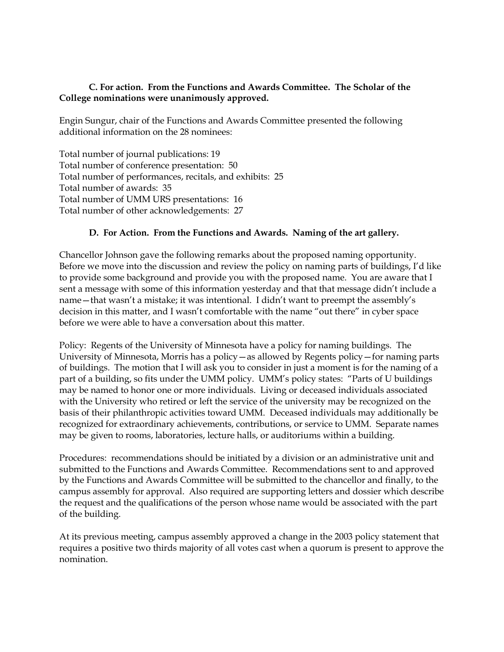### **C. For action. From the Functions and Awards Committee. The Scholar of the College nominations were unanimously approved.**

Engin Sungur, chair of the Functions and Awards Committee presented the following additional information on the 28 nominees:

Total number of journal publications: 19 Total number of conference presentation: 50 Total number of performances, recitals, and exhibits: 25 Total number of awards: 35 Total number of UMM URS presentations: 16 Total number of other acknowledgements: 27

### **D. For Action. From the Functions and Awards. Naming of the art gallery.**

Chancellor Johnson gave the following remarks about the proposed naming opportunity. Before we move into the discussion and review the policy on naming parts of buildings, I'd like to provide some background and provide you with the proposed name. You are aware that I sent a message with some of this information yesterday and that that message didn't include a name—that wasn't a mistake; it was intentional. I didn't want to preempt the assembly's decision in this matter, and I wasn't comfortable with the name "out there" in cyber space before we were able to have a conversation about this matter.

Policy: Regents of the University of Minnesota have a policy for naming buildings. The University of Minnesota, Morris has a policy—as allowed by Regents policy—for naming parts of buildings. The motion that I will ask you to consider in just a moment is for the naming of a part of a building, so fits under the UMM policy. UMM's policy states: "Parts of U buildings may be named to honor one or more individuals. Living or deceased individuals associated with the University who retired or left the service of the university may be recognized on the basis of their philanthropic activities toward UMM. Deceased individuals may additionally be recognized for extraordinary achievements, contributions, or service to UMM. Separate names may be given to rooms, laboratories, lecture halls, or auditoriums within a building.

Procedures: recommendations should be initiated by a division or an administrative unit and submitted to the Functions and Awards Committee. Recommendations sent to and approved by the Functions and Awards Committee will be submitted to the chancellor and finally, to the campus assembly for approval. Also required are supporting letters and dossier which describe the request and the qualifications of the person whose name would be associated with the part of the building.

At its previous meeting, campus assembly approved a change in the 2003 policy statement that requires a positive two thirds majority of all votes cast when a quorum is present to approve the nomination.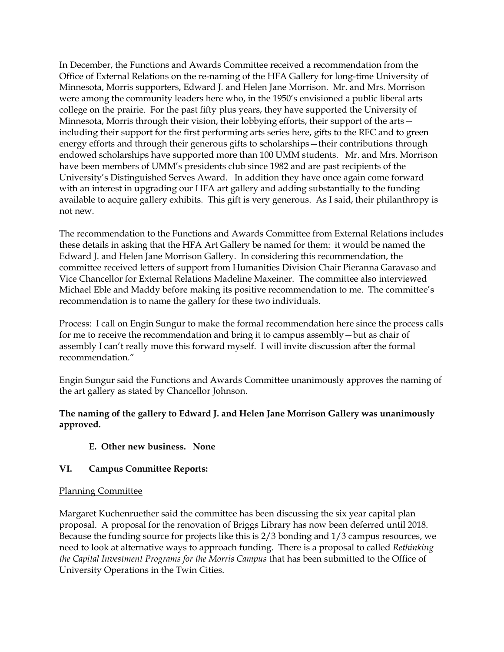In December, the Functions and Awards Committee received a recommendation from the Office of External Relations on the re-naming of the HFA Gallery for long-time University of Minnesota, Morris supporters, Edward J. and Helen Jane Morrison. Mr. and Mrs. Morrison were among the community leaders here who, in the 1950's envisioned a public liberal arts college on the prairie. For the past fifty plus years, they have supported the University of Minnesota, Morris through their vision, their lobbying efforts, their support of the arts including their support for the first performing arts series here, gifts to the RFC and to green energy efforts and through their generous gifts to scholarships—their contributions through endowed scholarships have supported more than 100 UMM students. Mr. and Mrs. Morrison have been members of UMM's presidents club since 1982 and are past recipients of the University's Distinguished Serves Award. In addition they have once again come forward with an interest in upgrading our HFA art gallery and adding substantially to the funding available to acquire gallery exhibits. This gift is very generous. As I said, their philanthropy is not new.

The recommendation to the Functions and Awards Committee from External Relations includes these details in asking that the HFA Art Gallery be named for them: it would be named the Edward J. and Helen Jane Morrison Gallery. In considering this recommendation, the committee received letters of support from Humanities Division Chair Pieranna Garavaso and Vice Chancellor for External Relations Madeline Maxeiner. The committee also interviewed Michael Eble and Maddy before making its positive recommendation to me. The committee's recommendation is to name the gallery for these two individuals.

Process: I call on Engin Sungur to make the formal recommendation here since the process calls for me to receive the recommendation and bring it to campus assembly—but as chair of assembly I can't really move this forward myself. I will invite discussion after the formal recommendation."

Engin Sungur said the Functions and Awards Committee unanimously approves the naming of the art gallery as stated by Chancellor Johnson.

### **The naming of the gallery to Edward J. and Helen Jane Morrison Gallery was unanimously approved.**

**E. Other new business. None**

## **VI. Campus Committee Reports:**

#### Planning Committee

Margaret Kuchenruether said the committee has been discussing the six year capital plan proposal. A proposal for the renovation of Briggs Library has now been deferred until 2018. Because the funding source for projects like this is 2/3 bonding and 1/3 campus resources, we need to look at alternative ways to approach funding. There is a proposal to called *Rethinking the Capital Investment Programs for the Morris Campus* that has been submitted to the Office of University Operations in the Twin Cities.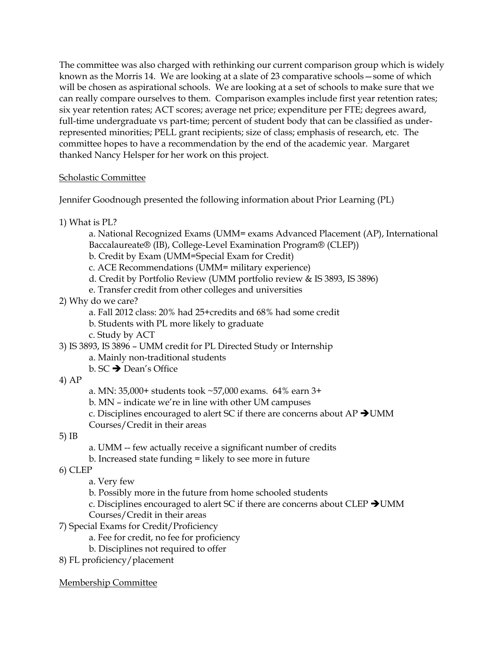The committee was also charged with rethinking our current comparison group which is widely known as the Morris 14. We are looking at a slate of 23 comparative schools—some of which will be chosen as aspirational schools. We are looking at a set of schools to make sure that we can really compare ourselves to them. Comparison examples include first year retention rates; six year retention rates; ACT scores; average net price; expenditure per FTE; degrees award, full-time undergraduate vs part-time; percent of student body that can be classified as underrepresented minorities; PELL grant recipients; size of class; emphasis of research, etc. The committee hopes to have a recommendation by the end of the academic year. Margaret thanked Nancy Helsper for her work on this project.

### Scholastic Committee

Jennifer Goodnough presented the following information about Prior Learning (PL)

1) What is PL?

a. National Recognized Exams (UMM= exams Advanced Placement (AP), International Baccalaureate® (IB), College-Level Examination Program® (CLEP))

b. Credit by Exam (UMM=Special Exam for Credit)

c. ACE Recommendations (UMM= military experience)

d. Credit by Portfolio Review (UMM portfolio review & IS 3893, IS 3896)

e. Transfer credit from other colleges and universities

- 2) Why do we care?
	- a. Fall 2012 class: 20% had 25+credits and 68% had some credit
	- b. Students with PL more likely to graduate
	- c. Study by ACT

3) IS 3893, IS 3896 – UMM credit for PL Directed Study or Internship

a. Mainly non-traditional students

b.  $SC \rightarrow Dean's$  Office

## 4) AP

a. MN: 35,000+ students took ~57,000 exams. 64% earn 3+

b. MN – indicate we're in line with other UM campuses

c. Disciplines encouraged to alert SC if there are concerns about  $AP \rightarrow UMM$ 

Courses/Credit in their areas

5) IB

- a. UMM -- few actually receive a significant number of credits
- b. Increased state funding = likely to see more in future

6) CLEP

- a. Very few
- b. Possibly more in the future from home schooled students
- c. Disciplines encouraged to alert SC if there are concerns about CLEP  $\rightarrow$  UMM
- Courses/Credit in their areas
- 7) Special Exams for Credit/Proficiency
	- a. Fee for credit, no fee for proficiency
	- b. Disciplines not required to offer
- 8) FL proficiency/placement

Membership Committee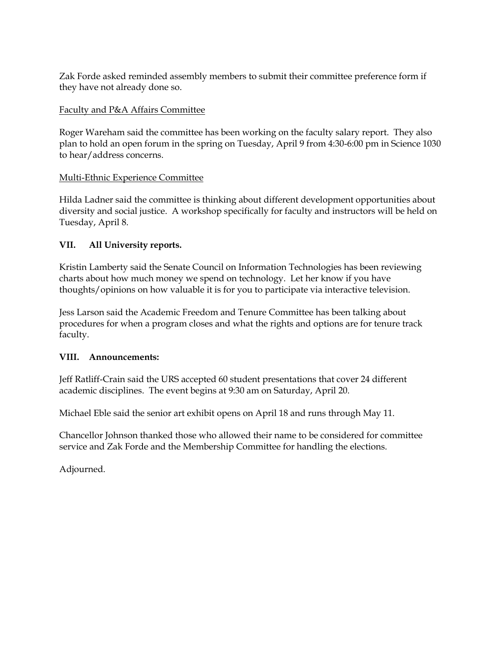Zak Forde asked reminded assembly members to submit their committee preference form if they have not already done so.

### Faculty and P&A Affairs Committee

Roger Wareham said the committee has been working on the faculty salary report. They also plan to hold an open forum in the spring on Tuesday, April 9 from 4:30-6:00 pm in Science 1030 to hear/address concerns.

### Multi-Ethnic Experience Committee

Hilda Ladner said the committee is thinking about different development opportunities about diversity and social justice. A workshop specifically for faculty and instructors will be held on Tuesday, April 8.

### **VII. All University reports.**

Kristin Lamberty said the Senate Council on Information Technologies has been reviewing charts about how much money we spend on technology. Let her know if you have thoughts/opinions on how valuable it is for you to participate via interactive television.

Jess Larson said the Academic Freedom and Tenure Committee has been talking about procedures for when a program closes and what the rights and options are for tenure track faculty.

#### **VIII. Announcements:**

Jeff Ratliff-Crain said the URS accepted 60 student presentations that cover 24 different academic disciplines. The event begins at 9:30 am on Saturday, April 20.

Michael Eble said the senior art exhibit opens on April 18 and runs through May 11.

Chancellor Johnson thanked those who allowed their name to be considered for committee service and Zak Forde and the Membership Committee for handling the elections.

Adjourned.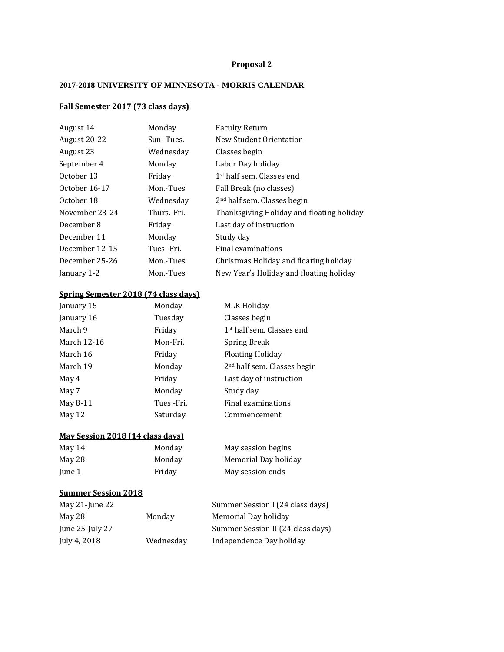#### **Proposal 2**

#### **2017-2018 UNIVERSITY OF MINNESOTA - MORRIS CALENDAR**

#### **Fall Semester 2017 (73 class days)**

| August 14      | Monday      | <b>Faculty Return</b>                     |
|----------------|-------------|-------------------------------------------|
| August 20-22   | Sun.-Tues.  | New Student Orientation                   |
| August 23      | Wednesday   | Classes begin                             |
| September 4    | Monday      | Labor Day holiday                         |
| October 13     | Friday      | 1 <sup>st</sup> half sem. Classes end     |
| October 16-17  | Mon.-Tues.  | Fall Break (no classes)                   |
| October 18     | Wednesday   | 2 <sup>nd</sup> half sem. Classes begin   |
| November 23-24 | Thurs.-Fri. | Thanksgiving Holiday and floating holiday |
| December 8     | Friday      | Last day of instruction                   |
| December 11    | Monday      | Study day                                 |
| December 12-15 | Tues.-Fri.  | Final examinations                        |
| December 25-26 | Mon.-Tues.  | Christmas Holiday and floating holiday    |
| January 1-2    | Mon.-Tues.  | New Year's Holiday and floating holiday   |

#### **Spring Semester 2018 (74 class days)**

| January 15  | Monday     | <b>MLK Holiday</b>                      |
|-------------|------------|-----------------------------------------|
| January 16  | Tuesday    | Classes begin                           |
| March 9     | Friday     | 1 <sup>st</sup> half sem. Classes end   |
| March 12-16 | Mon-Fri.   | <b>Spring Break</b>                     |
| March 16    | Friday     | Floating Holiday                        |
| March 19    | Monday     | 2 <sup>nd</sup> half sem. Classes begin |
| May 4       | Friday     | Last day of instruction                 |
| May 7       | Monday     | Study day                               |
| May 8-11    | Tues.-Fri. | Final examinations                      |
| May 12      | Saturday   | Commencement                            |
|             |            |                                         |

#### **May Session 2018 (14 class days)**

| May 14 | Monday |
|--------|--------|
| May 28 | Monday |
| June 1 | Friday |

#### **Summer Session 2018**

| May 21-June 22       |           | Summ  |
|----------------------|-----------|-------|
| May 28               | Monday    | Memo  |
| June $25$ -July $27$ |           | Summ  |
| July 4, 2018         | Wednesdav | Indep |

ner Session I (24 class days)  $m$ ial Day holiday ler Session II (24 class days) endence Day holiday

May session begins Memorial Day holiday May session ends